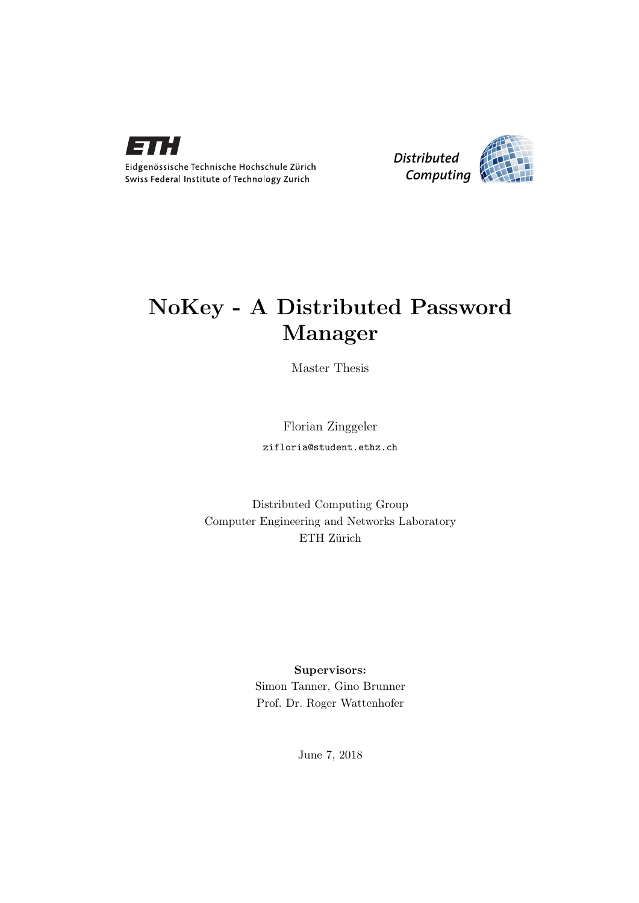



## NoKey - A Distributed Password Manager

Master Thesis

Florian Zinggeler zifloria@student.ethz.ch

Distributed Computing Group Computer Engineering and Networks Laboratory ETH Zürich

### Supervisors:

Simon Tanner, Gino Brunner Prof. Dr. Roger Wattenhofer

June 7, 2018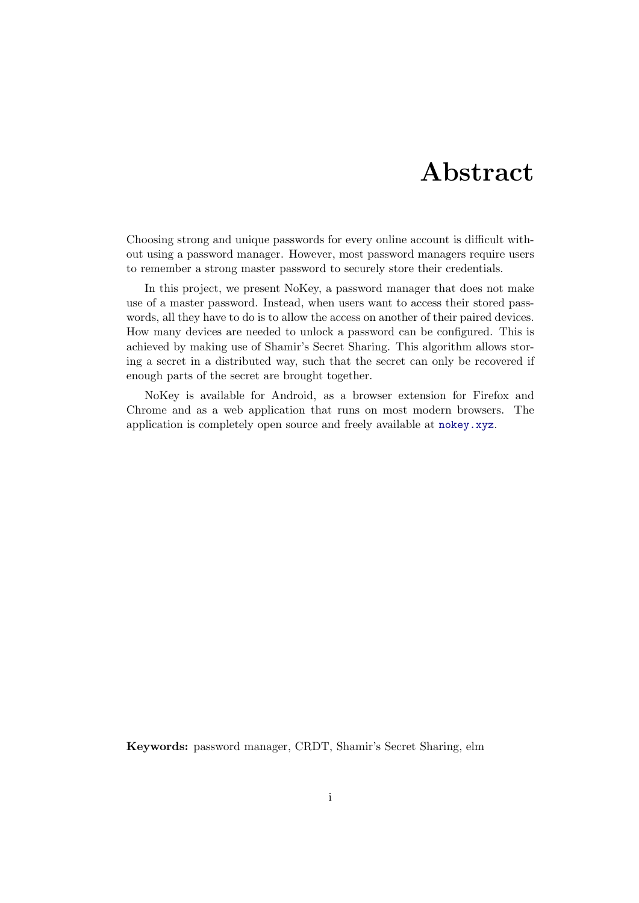## Abstract

<span id="page-1-0"></span>Choosing strong and unique passwords for every online account is difficult without using a password manager. However, most password managers require users to remember a strong master password to securely store their credentials.

In this project, we present NoKey, a password manager that does not make use of a master password. Instead, when users want to access their stored passwords, all they have to do is to allow the access on another of their paired devices. How many devices are needed to unlock a password can be configured. This is achieved by making use of Shamir's Secret Sharing. This algorithm allows storing a secret in a distributed way, such that the secret can only be recovered if enough parts of the secret are brought together.

NoKey is available for Android, as a browser extension for Firefox and Chrome and as a web application that runs on most modern browsers. The application is completely open source and freely available at <nokey.xyz>.

Keywords: password manager, CRDT, Shamir's Secret Sharing, elm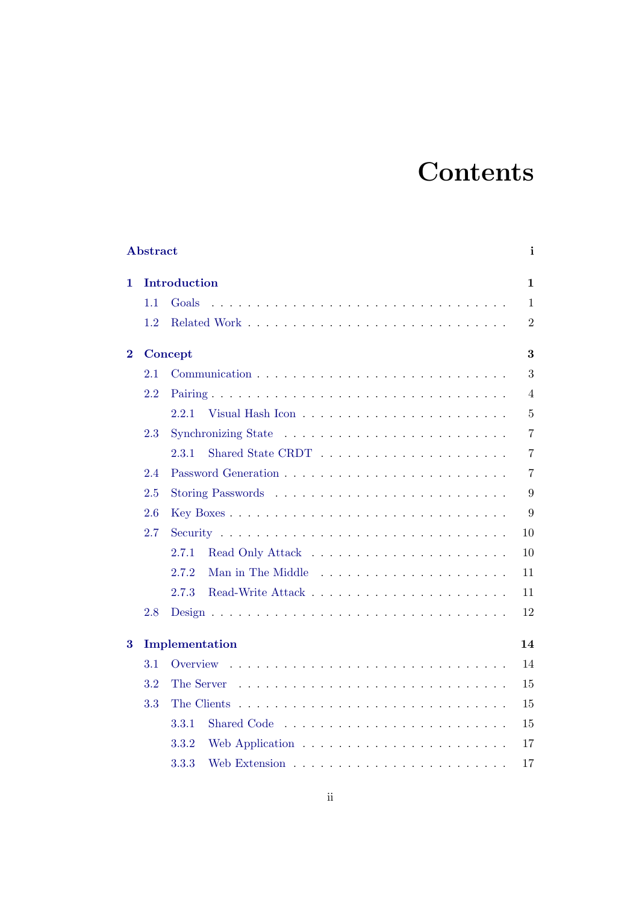## **Contents**

|          | Abstract | i              |                |  |  |  |
|----------|----------|----------------|----------------|--|--|--|
| 1.       |          | Introduction   | $\mathbf{1}$   |  |  |  |
|          | 1.1      | Goals          | $\mathbf{1}$   |  |  |  |
|          | 1.2      |                | $\overline{2}$ |  |  |  |
| $\bf{2}$ |          | 3<br>Concept   |                |  |  |  |
|          | 2.1      |                | 3              |  |  |  |
|          | 2.2      |                | $\overline{4}$ |  |  |  |
|          |          | 2.2.1          | $\overline{5}$ |  |  |  |
|          | 2.3      |                | $\overline{7}$ |  |  |  |
|          |          | 2.3.1          | $\overline{7}$ |  |  |  |
|          | 2.4      |                | $\overline{7}$ |  |  |  |
|          | 2.5      |                | 9              |  |  |  |
|          | 2.6      |                | 9              |  |  |  |
|          | 2.7      |                | 10             |  |  |  |
|          |          | 2.7.1          | 10             |  |  |  |
|          |          | 2.7.2          | 11             |  |  |  |
|          |          | 2.7.3          | 11             |  |  |  |
|          | 2.8      |                | 12             |  |  |  |
| 3        |          | Implementation | 14             |  |  |  |
|          | 3.1      |                | 14             |  |  |  |
|          | 3.2      | The Server     | 15             |  |  |  |
|          | 3.3      | The Clients    | 15             |  |  |  |
|          |          | 3.3.1          | 15             |  |  |  |
|          |          | 3.3.2          | 17             |  |  |  |
|          |          | 3.3.3          | 17             |  |  |  |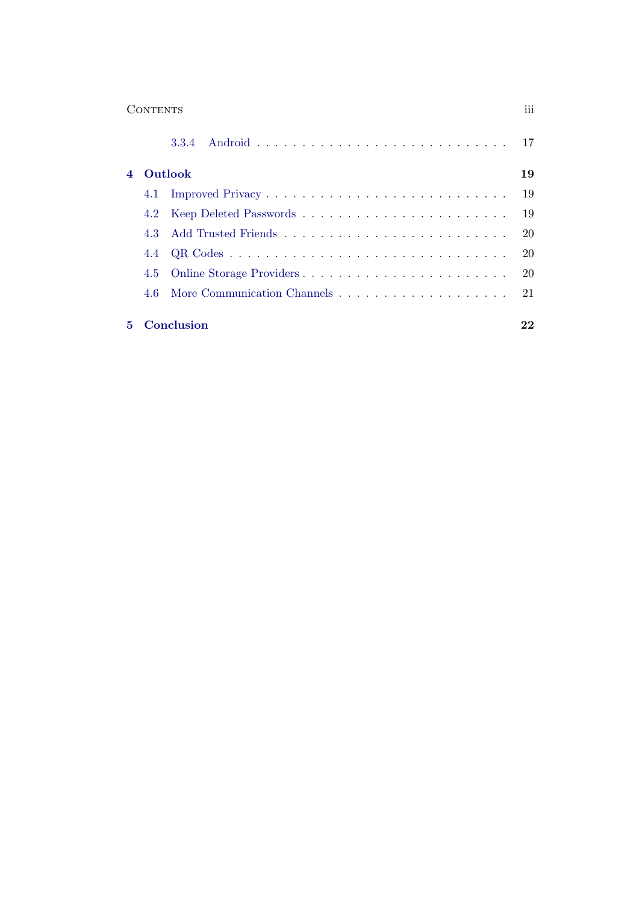| 111 |
|-----|
|     |

|  | 4 Outlook           | 19  |
|--|---------------------|-----|
|  |                     | -19 |
|  |                     |     |
|  |                     |     |
|  |                     |     |
|  |                     |     |
|  |                     |     |
|  | <b>5</b> Conclusion | 22  |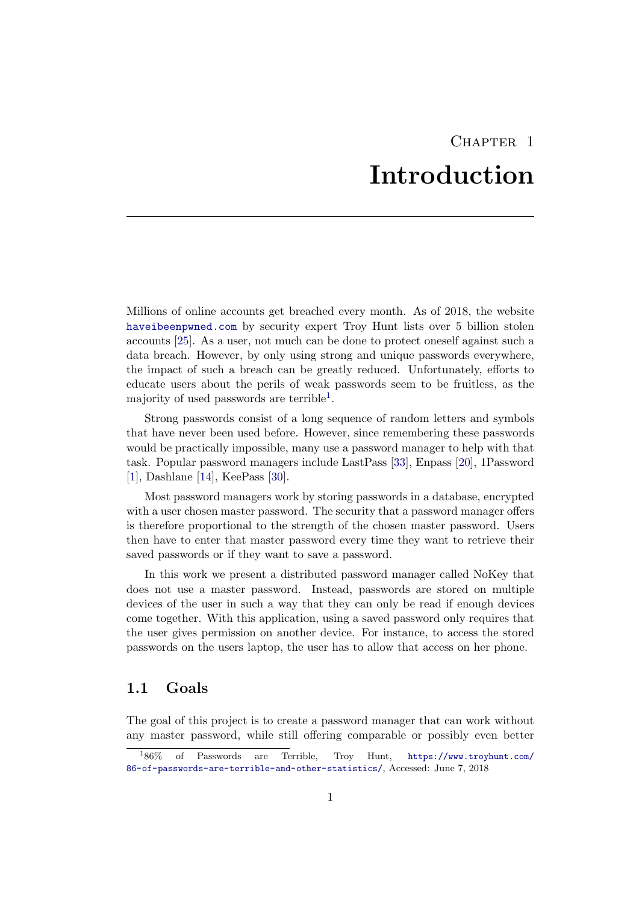## CHAPTER<sub>1</sub> Introduction

<span id="page-4-0"></span>Millions of online accounts get breached every month. As of 2018, the website <haveibeenpwned.com> by security expert Troy Hunt lists over 5 billion stolen accounts [\[25\]](#page-28-0). As a user, not much can be done to protect oneself against such a data breach. However, by only using strong and unique passwords everywhere, the impact of such a breach can be greatly reduced. Unfortunately, efforts to educate users about the perils of weak passwords seem to be fruitless, as the majority of used passwords are terrible<sup>[1](#page-4-2)</sup>.

Strong passwords consist of a long sequence of random letters and symbols that have never been used before. However, since remembering these passwords would be practically impossible, many use a password manager to help with that task. Popular password managers include LastPass [\[33\]](#page-29-0), Enpass [\[20\]](#page-28-1), 1Password [\[1\]](#page-28-2), Dashlane [\[14\]](#page-28-3), KeePass [\[30\]](#page-29-1).

Most password managers work by storing passwords in a database, encrypted with a user chosen master password. The security that a password manager offers is therefore proportional to the strength of the chosen master password. Users then have to enter that master password every time they want to retrieve their saved passwords or if they want to save a password.

In this work we present a distributed password manager called NoKey that does not use a master password. Instead, passwords are stored on multiple devices of the user in such a way that they can only be read if enough devices come together. With this application, using a saved password only requires that the user gives permission on another device. For instance, to access the stored passwords on the users laptop, the user has to allow that access on her phone.

## <span id="page-4-1"></span>1.1 Goals

The goal of this project is to create a password manager that can work without any master password, while still offering comparable or possibly even better

<span id="page-4-2"></span> $186\%$ 86% of Passwords are Terrible, Troy Hunt, [https://www.troyhunt.com/](https://www.troyhunt.com/86-of-passwords-are-terrible-and-other-statistics/) [86-of-passwords-are-terrible-and-other-statistics/](https://www.troyhunt.com/86-of-passwords-are-terrible-and-other-statistics/), Accessed: June 7, 2018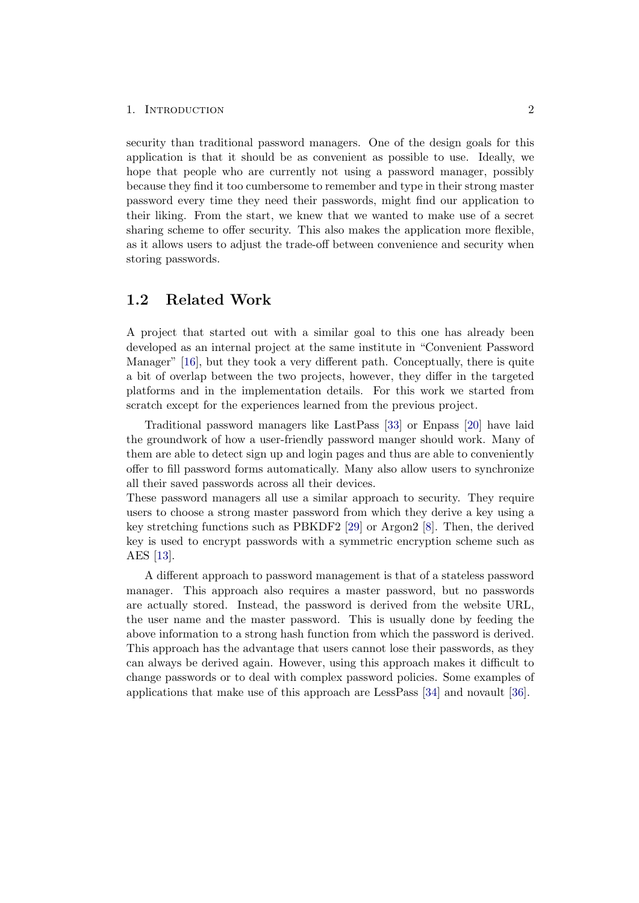#### 1. INTRODUCTION 2

security than traditional password managers. One of the design goals for this application is that it should be as convenient as possible to use. Ideally, we hope that people who are currently not using a password manager, possibly because they find it too cumbersome to remember and type in their strong master password every time they need their passwords, might find our application to their liking. From the start, we knew that we wanted to make use of a secret sharing scheme to offer security. This also makes the application more flexible, as it allows users to adjust the trade-off between convenience and security when storing passwords.

## <span id="page-5-0"></span>1.2 Related Work

A project that started out with a similar goal to this one has already been developed as an internal project at the same institute in "Convenient Password Manager" [\[16\]](#page-26-0), but they took a very different path. Conceptually, there is quite a bit of overlap between the two projects, however, they differ in the targeted platforms and in the implementation details. For this work we started from scratch except for the experiences learned from the previous project.

Traditional password managers like LastPass [\[33\]](#page-29-0) or Enpass [\[20\]](#page-28-1) have laid the groundwork of how a user-friendly password manger should work. Many of them are able to detect sign up and login pages and thus are able to conveniently offer to fill password forms automatically. Many also allow users to synchronize all their saved passwords across all their devices.

These password managers all use a similar approach to security. They require users to choose a strong master password from which they derive a key using a key stretching functions such as PBKDF2 [\[29\]](#page-26-1) or Argon2 [\[8\]](#page-26-2). Then, the derived key is used to encrypt passwords with a symmetric encryption scheme such as AES [\[13\]](#page-26-3).

A different approach to password management is that of a stateless password manager. This approach also requires a master password, but no passwords are actually stored. Instead, the password is derived from the website URL, the user name and the master password. This is usually done by feeding the above information to a strong hash function from which the password is derived. This approach has the advantage that users cannot lose their passwords, as they can always be derived again. However, using this approach makes it difficult to change passwords or to deal with complex password policies. Some examples of applications that make use of this approach are LessPass [\[34\]](#page-29-2) and novault [\[36\]](#page-29-3).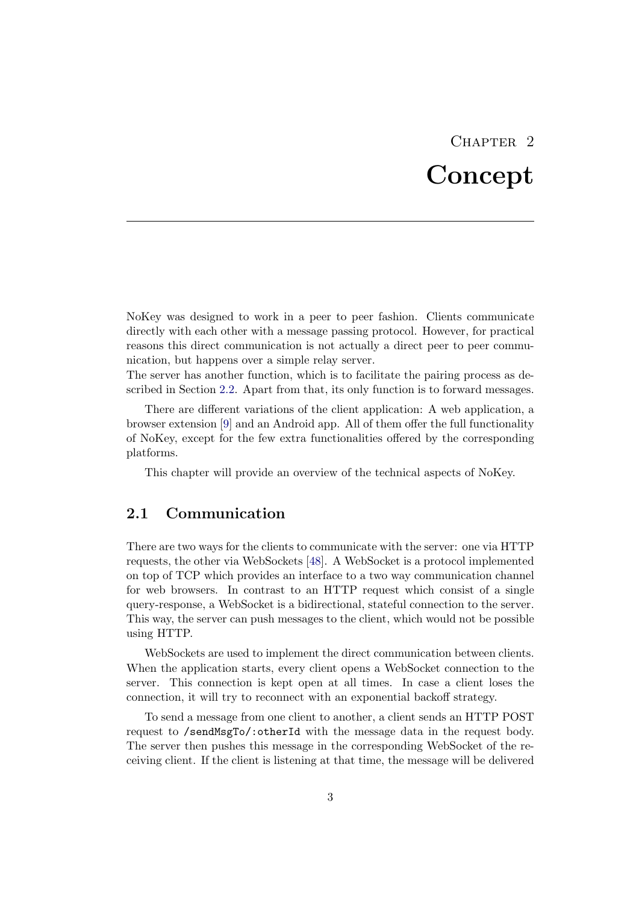# CHAPTER<sub>2</sub> Concept

<span id="page-6-0"></span>NoKey was designed to work in a peer to peer fashion. Clients communicate directly with each other with a message passing protocol. However, for practical reasons this direct communication is not actually a direct peer to peer communication, but happens over a simple relay server.

The server has another function, which is to facilitate the pairing process as described in Section [2.2.](#page-7-0) Apart from that, its only function is to forward messages.

There are different variations of the client application: A web application, a browser extension [\[9\]](#page-28-4) and an Android app. All of them offer the full functionality of NoKey, except for the few extra functionalities offered by the corresponding platforms.

This chapter will provide an overview of the technical aspects of NoKey.

## <span id="page-6-1"></span>2.1 Communication

There are two ways for the clients to communicate with the server: one via HTTP requests, the other via WebSockets [\[48\]](#page-27-0). A WebSocket is a protocol implemented on top of TCP which provides an interface to a two way communication channel for web browsers. In contrast to an HTTP request which consist of a single query-response, a WebSocket is a bidirectional, stateful connection to the server. This way, the server can push messages to the client, which would not be possible using HTTP.

WebSockets are used to implement the direct communication between clients. When the application starts, every client opens a WebSocket connection to the server. This connection is kept open at all times. In case a client loses the connection, it will try to reconnect with an exponential backoff strategy.

To send a message from one client to another, a client sends an HTTP POST request to /sendMsgTo/:otherId with the message data in the request body. The server then pushes this message in the corresponding WebSocket of the receiving client. If the client is listening at that time, the message will be delivered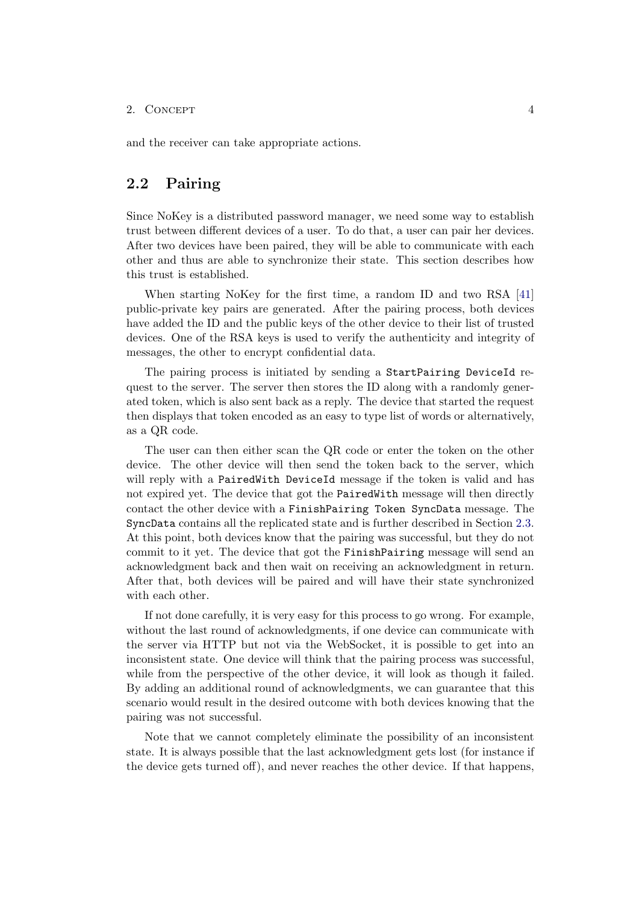and the receiver can take appropriate actions.

### <span id="page-7-0"></span>2.2 Pairing

Since NoKey is a distributed password manager, we need some way to establish trust between different devices of a user. To do that, a user can pair her devices. After two devices have been paired, they will be able to communicate with each other and thus are able to synchronize their state. This section describes how this trust is established.

When starting NoKey for the first time, a random ID and two RSA [\[41\]](#page-27-1) public-private key pairs are generated. After the pairing process, both devices have added the ID and the public keys of the other device to their list of trusted devices. One of the RSA keys is used to verify the authenticity and integrity of messages, the other to encrypt confidential data.

The pairing process is initiated by sending a StartPairing DeviceId request to the server. The server then stores the ID along with a randomly generated token, which is also sent back as a reply. The device that started the request then displays that token encoded as an easy to type list of words or alternatively, as a QR code.

The user can then either scan the QR code or enter the token on the other device. The other device will then send the token back to the server, which will reply with a PairedWith DeviceId message if the token is valid and has not expired yet. The device that got the PairedWith message will then directly contact the other device with a FinishPairing Token SyncData message. The SyncData contains all the replicated state and is further described in Section [2.3.](#page-10-0) At this point, both devices know that the pairing was successful, but they do not commit to it yet. The device that got the FinishPairing message will send an acknowledgment back and then wait on receiving an acknowledgment in return. After that, both devices will be paired and will have their state synchronized with each other.

If not done carefully, it is very easy for this process to go wrong. For example, without the last round of acknowledgments, if one device can communicate with the server via HTTP but not via the WebSocket, it is possible to get into an inconsistent state. One device will think that the pairing process was successful, while from the perspective of the other device, it will look as though it failed. By adding an additional round of acknowledgments, we can guarantee that this scenario would result in the desired outcome with both devices knowing that the pairing was not successful.

Note that we cannot completely eliminate the possibility of an inconsistent state. It is always possible that the last acknowledgment gets lost (for instance if the device gets turned off), and never reaches the other device. If that happens,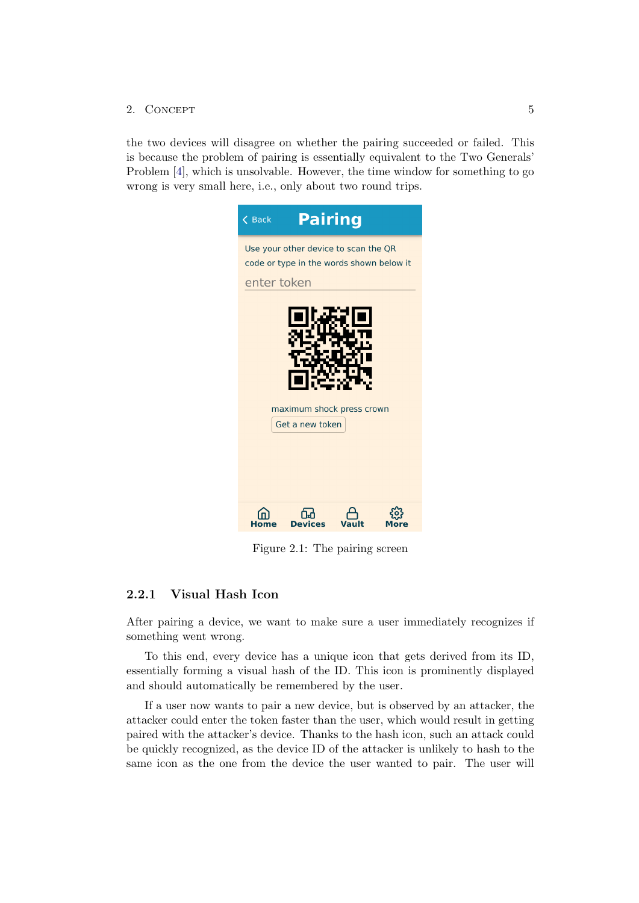the two devices will disagree on whether the pairing succeeded or failed. This is because the problem of pairing is essentially equivalent to the Two Generals' Problem [\[4\]](#page-26-4), which is unsolvable. However, the time window for something to go wrong is very small here, i.e., only about two round trips.



Figure 2.1: The pairing screen

### <span id="page-8-0"></span>2.2.1 Visual Hash Icon

After pairing a device, we want to make sure a user immediately recognizes if something went wrong.

To this end, every device has a unique icon that gets derived from its ID, essentially forming a visual hash of the ID. This icon is prominently displayed and should automatically be remembered by the user.

If a user now wants to pair a new device, but is observed by an attacker, the attacker could enter the token faster than the user, which would result in getting paired with the attacker's device. Thanks to the hash icon, such an attack could be quickly recognized, as the device ID of the attacker is unlikely to hash to the same icon as the one from the device the user wanted to pair. The user will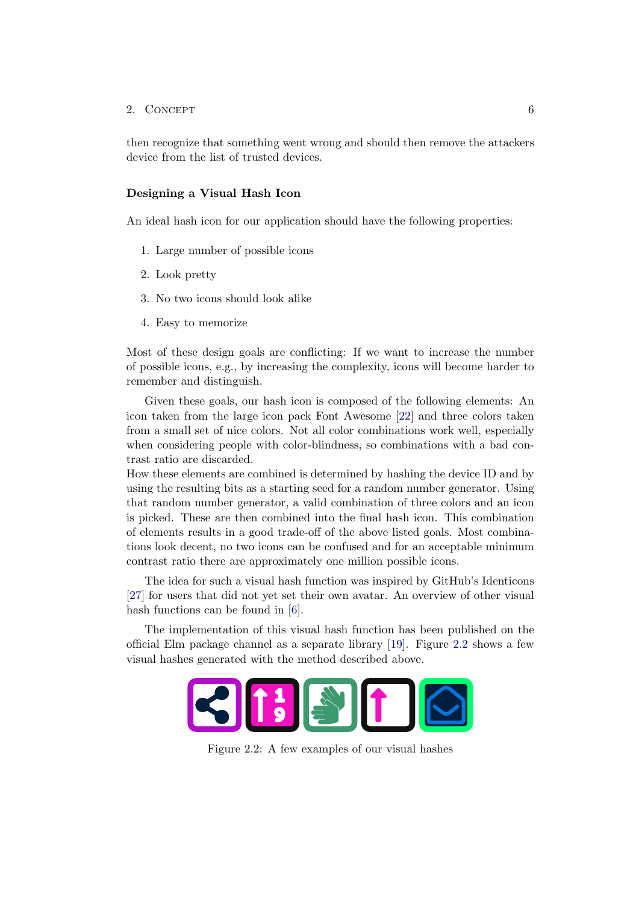then recognize that something went wrong and should then remove the attackers device from the list of trusted devices.

#### Designing a Visual Hash Icon

An ideal hash icon for our application should have the following properties:

- 1. Large number of possible icons
- 2. Look pretty
- 3. No two icons should look alike
- 4. Easy to memorize

Most of these design goals are conflicting: If we want to increase the number of possible icons, e.g., by increasing the complexity, icons will become harder to remember and distinguish.

Given these goals, our hash icon is composed of the following elements: An icon taken from the large icon pack Font Awesome [\[22\]](#page-28-5) and three colors taken from a small set of nice colors. Not all color combinations work well, especially when considering people with color-blindness, so combinations with a bad contrast ratio are discarded.

How these elements are combined is determined by hashing the device ID and by using the resulting bits as a starting seed for a random number generator. Using that random number generator, a valid combination of three colors and an icon is picked. These are then combined into the final hash icon. This combination of elements results in a good trade-off of the above listed goals. Most combinations look decent, no two icons can be confused and for an acceptable minimum contrast ratio there are approximately one million possible icons.

The idea for such a visual hash function was inspired by GitHub's Identicons [\[27\]](#page-29-4) for users that did not yet set their own avatar. An overview of other visual hash functions can be found in [\[6\]](#page-28-6).

<span id="page-9-0"></span>The implementation of this visual hash function has been published on the official Elm package channel as a separate library [\[19\]](#page-28-7). Figure [2.2](#page-9-0) shows a few visual hashes generated with the method described above.



Figure 2.2: A few examples of our visual hashes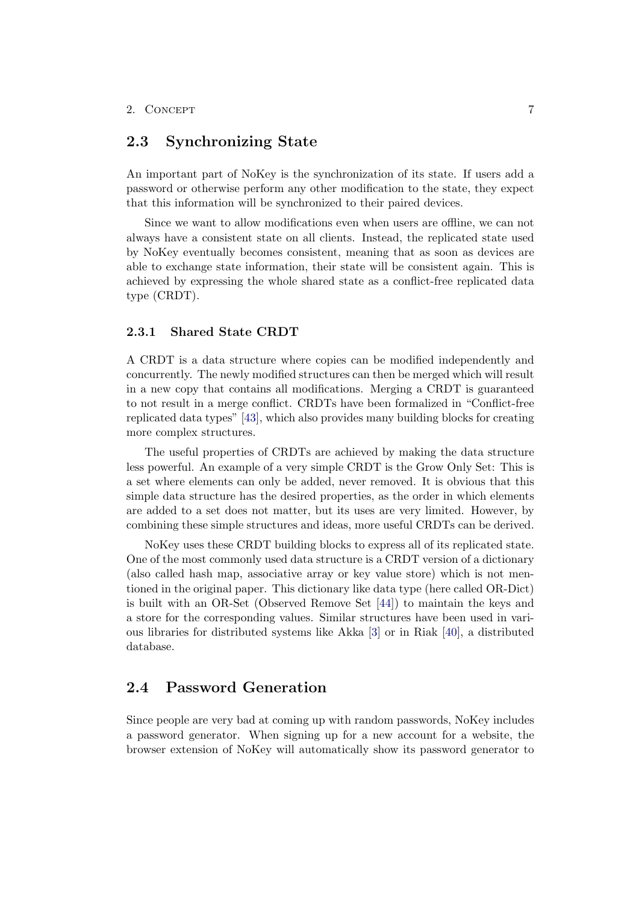## <span id="page-10-0"></span>2.3 Synchronizing State

An important part of NoKey is the synchronization of its state. If users add a password or otherwise perform any other modification to the state, they expect that this information will be synchronized to their paired devices.

Since we want to allow modifications even when users are offline, we can not always have a consistent state on all clients. Instead, the replicated state used by NoKey eventually becomes consistent, meaning that as soon as devices are able to exchange state information, their state will be consistent again. This is achieved by expressing the whole shared state as a conflict-free replicated data type (CRDT).

#### <span id="page-10-1"></span>2.3.1 Shared State CRDT

A CRDT is a data structure where copies can be modified independently and concurrently. The newly modified structures can then be merged which will result in a new copy that contains all modifications. Merging a CRDT is guaranteed to not result in a merge conflict. CRDTs have been formalized in "Conflict-free replicated data types" [\[43\]](#page-27-2), which also provides many building blocks for creating more complex structures.

The useful properties of CRDTs are achieved by making the data structure less powerful. An example of a very simple CRDT is the Grow Only Set: This is a set where elements can only be added, never removed. It is obvious that this simple data structure has the desired properties, as the order in which elements are added to a set does not matter, but its uses are very limited. However, by combining these simple structures and ideas, more useful CRDTs can be derived.

NoKey uses these CRDT building blocks to express all of its replicated state. One of the most commonly used data structure is a CRDT version of a dictionary (also called hash map, associative array or key value store) which is not mentioned in the original paper. This dictionary like data type (here called OR-Dict) is built with an OR-Set (Observed Remove Set [\[44\]](#page-27-3)) to maintain the keys and a store for the corresponding values. Similar structures have been used in various libraries for distributed systems like Akka [\[3\]](#page-28-8) or in Riak [\[40\]](#page-29-5), a distributed database.

## <span id="page-10-2"></span>2.4 Password Generation

Since people are very bad at coming up with random passwords, NoKey includes a password generator. When signing up for a new account for a website, the browser extension of NoKey will automatically show its password generator to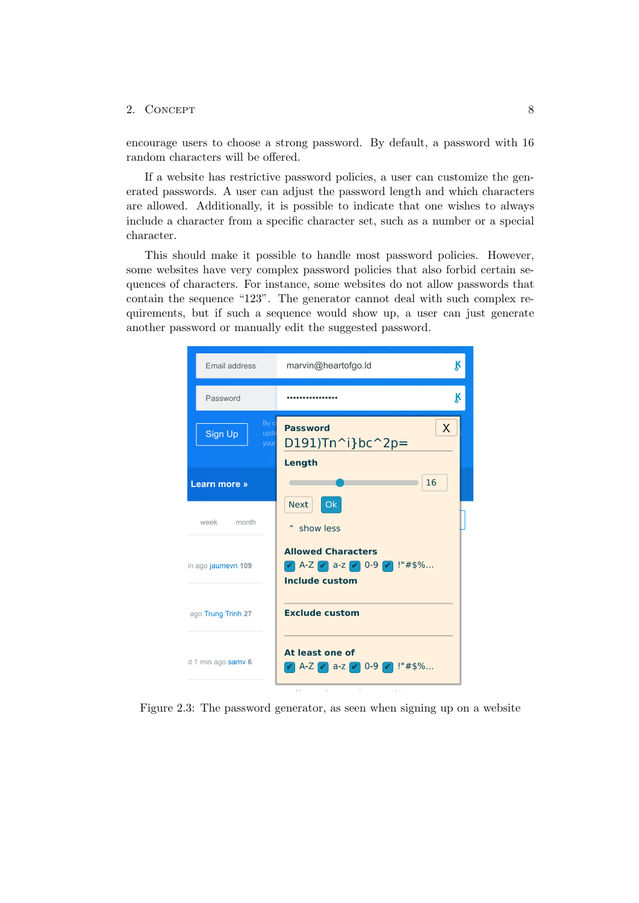encourage users to choose a strong password. By default, a password with 16 random characters will be offered.

If a website has restrictive password policies, a user can customize the generated passwords. A user can adjust the password length and which characters are allowed. Additionally, it is possible to indicate that one wishes to always include a character from a specific character set, such as a number or a special character.

This should make it possible to handle most password policies. However, some websites have very complex password policies that also forbid certain sequences of characters. For instance, some websites do not allow passwords that contain the sequence "123". The generator cannot deal with such complex requirements, but if such a sequence would show up, a user can just generate another password or manually edit the suggested password.



Figure 2.3: The password generator, as seen when signing up on a website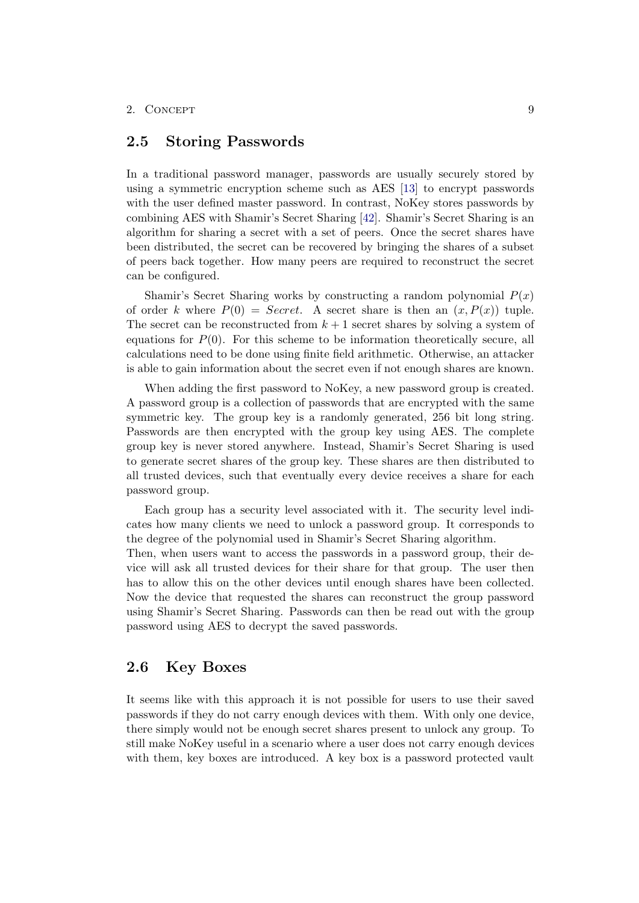### <span id="page-12-0"></span>2.5 Storing Passwords

In a traditional password manager, passwords are usually securely stored by using a symmetric encryption scheme such as AES [\[13\]](#page-26-3) to encrypt passwords with the user defined master password. In contrast, NoKey stores passwords by combining AES with Shamir's Secret Sharing [\[42\]](#page-27-4). Shamir's Secret Sharing is an algorithm for sharing a secret with a set of peers. Once the secret shares have been distributed, the secret can be recovered by bringing the shares of a subset of peers back together. How many peers are required to reconstruct the secret can be configured.

Shamir's Secret Sharing works by constructing a random polynomial  $P(x)$ of order k where  $P(0) = Secret$ . A secret share is then an  $(x, P(x))$  tuple. The secret can be reconstructed from  $k + 1$  secret shares by solving a system of equations for  $P(0)$ . For this scheme to be information theoretically secure, all calculations need to be done using finite field arithmetic. Otherwise, an attacker is able to gain information about the secret even if not enough shares are known.

When adding the first password to NoKey, a new password group is created. A password group is a collection of passwords that are encrypted with the same symmetric key. The group key is a randomly generated, 256 bit long string. Passwords are then encrypted with the group key using AES. The complete group key is never stored anywhere. Instead, Shamir's Secret Sharing is used to generate secret shares of the group key. These shares are then distributed to all trusted devices, such that eventually every device receives a share for each password group.

Each group has a security level associated with it. The security level indicates how many clients we need to unlock a password group. It corresponds to the degree of the polynomial used in Shamir's Secret Sharing algorithm.

Then, when users want to access the passwords in a password group, their device will ask all trusted devices for their share for that group. The user then has to allow this on the other devices until enough shares have been collected. Now the device that requested the shares can reconstruct the group password using Shamir's Secret Sharing. Passwords can then be read out with the group password using AES to decrypt the saved passwords.

## <span id="page-12-1"></span>2.6 Key Boxes

It seems like with this approach it is not possible for users to use their saved passwords if they do not carry enough devices with them. With only one device, there simply would not be enough secret shares present to unlock any group. To still make NoKey useful in a scenario where a user does not carry enough devices with them, key boxes are introduced. A key box is a password protected vault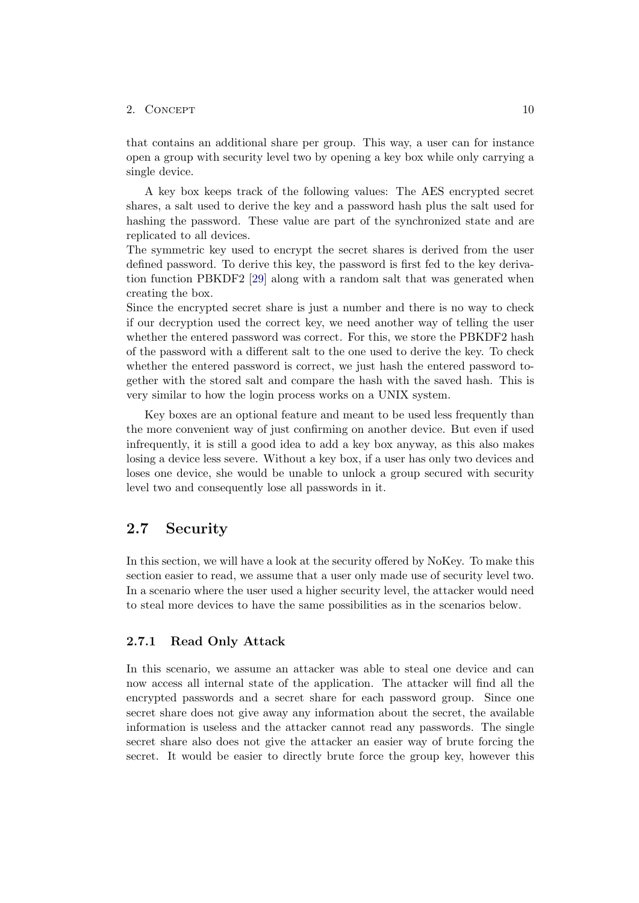#### 2.  $\text{CONCEPT}$  10

that contains an additional share per group. This way, a user can for instance open a group with security level two by opening a key box while only carrying a single device.

A key box keeps track of the following values: The AES encrypted secret shares, a salt used to derive the key and a password hash plus the salt used for hashing the password. These value are part of the synchronized state and are replicated to all devices.

The symmetric key used to encrypt the secret shares is derived from the user defined password. To derive this key, the password is first fed to the key derivation function PBKDF2 [\[29\]](#page-26-1) along with a random salt that was generated when creating the box.

Since the encrypted secret share is just a number and there is no way to check if our decryption used the correct key, we need another way of telling the user whether the entered password was correct. For this, we store the PBKDF2 hash of the password with a different salt to the one used to derive the key. To check whether the entered password is correct, we just hash the entered password together with the stored salt and compare the hash with the saved hash. This is very similar to how the login process works on a UNIX system.

Key boxes are an optional feature and meant to be used less frequently than the more convenient way of just confirming on another device. But even if used infrequently, it is still a good idea to add a key box anyway, as this also makes losing a device less severe. Without a key box, if a user has only two devices and loses one device, she would be unable to unlock a group secured with security level two and consequently lose all passwords in it.

## <span id="page-13-0"></span>2.7 Security

In this section, we will have a look at the security offered by NoKey. To make this section easier to read, we assume that a user only made use of security level two. In a scenario where the user used a higher security level, the attacker would need to steal more devices to have the same possibilities as in the scenarios below.

#### <span id="page-13-1"></span>2.7.1 Read Only Attack

In this scenario, we assume an attacker was able to steal one device and can now access all internal state of the application. The attacker will find all the encrypted passwords and a secret share for each password group. Since one secret share does not give away any information about the secret, the available information is useless and the attacker cannot read any passwords. The single secret share also does not give the attacker an easier way of brute forcing the secret. It would be easier to directly brute force the group key, however this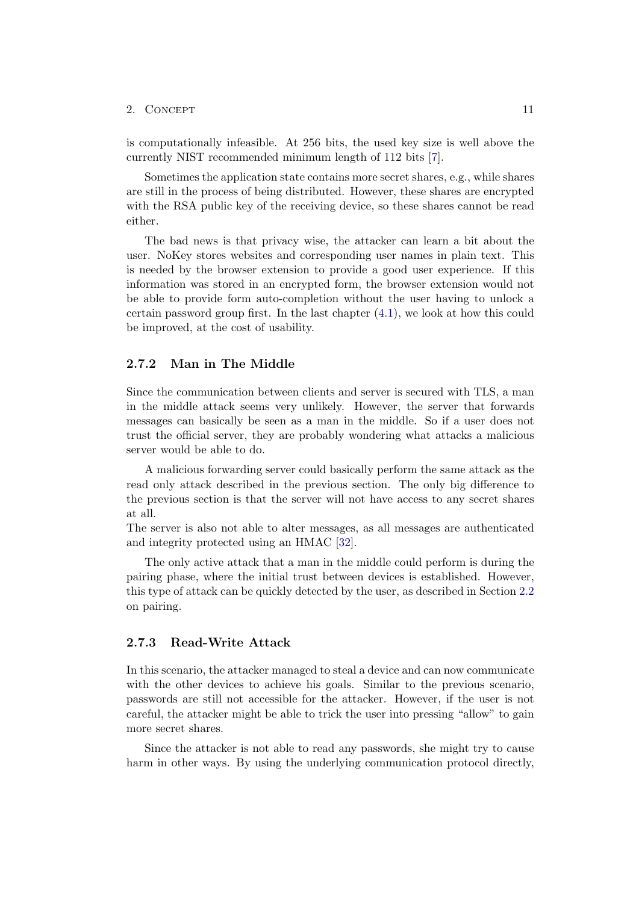is computationally infeasible. At 256 bits, the used key size is well above the currently NIST recommended minimum length of 112 bits [\[7\]](#page-26-5).

Sometimes the application state contains more secret shares, e.g., while shares are still in the process of being distributed. However, these shares are encrypted with the RSA public key of the receiving device, so these shares cannot be read either.

The bad news is that privacy wise, the attacker can learn a bit about the user. NoKey stores websites and corresponding user names in plain text. This is needed by the browser extension to provide a good user experience. If this information was stored in an encrypted form, the browser extension would not be able to provide form auto-completion without the user having to unlock a certain password group first. In the last chapter [\(4.1\)](#page-22-1), we look at how this could be improved, at the cost of usability.

#### <span id="page-14-0"></span>2.7.2 Man in The Middle

Since the communication between clients and server is secured with TLS, a man in the middle attack seems very unlikely. However, the server that forwards messages can basically be seen as a man in the middle. So if a user does not trust the official server, they are probably wondering what attacks a malicious server would be able to do.

A malicious forwarding server could basically perform the same attack as the read only attack described in the previous section. The only big difference to the previous section is that the server will not have access to any secret shares at all.

The server is also not able to alter messages, as all messages are authenticated and integrity protected using an HMAC [\[32\]](#page-26-6).

The only active attack that a man in the middle could perform is during the pairing phase, where the initial trust between devices is established. However, this type of attack can be quickly detected by the user, as described in Section [2.2](#page-7-0) on pairing.

#### <span id="page-14-1"></span>2.7.3 Read-Write Attack

In this scenario, the attacker managed to steal a device and can now communicate with the other devices to achieve his goals. Similar to the previous scenario, passwords are still not accessible for the attacker. However, if the user is not careful, the attacker might be able to trick the user into pressing "allow" to gain more secret shares.

Since the attacker is not able to read any passwords, she might try to cause harm in other ways. By using the underlying communication protocol directly,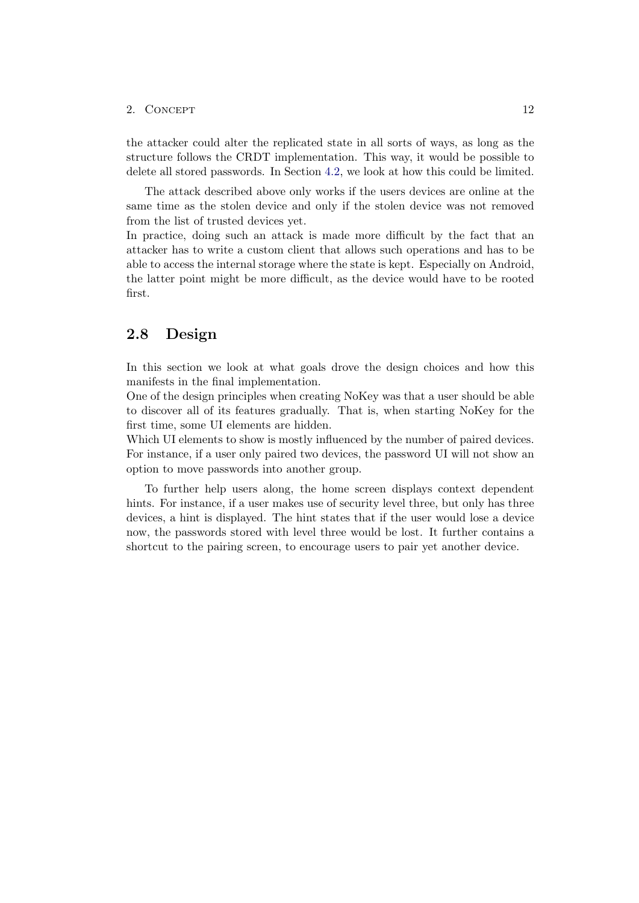the attacker could alter the replicated state in all sorts of ways, as long as the structure follows the CRDT implementation. This way, it would be possible to delete all stored passwords. In Section [4.2,](#page-22-2) we look at how this could be limited.

The attack described above only works if the users devices are online at the same time as the stolen device and only if the stolen device was not removed from the list of trusted devices yet.

In practice, doing such an attack is made more difficult by the fact that an attacker has to write a custom client that allows such operations and has to be able to access the internal storage where the state is kept. Especially on Android, the latter point might be more difficult, as the device would have to be rooted first.

### <span id="page-15-0"></span>2.8 Design

In this section we look at what goals drove the design choices and how this manifests in the final implementation.

One of the design principles when creating NoKey was that a user should be able to discover all of its features gradually. That is, when starting NoKey for the first time, some UI elements are hidden.

Which UI elements to show is mostly influenced by the number of paired devices. For instance, if a user only paired two devices, the password UI will not show an option to move passwords into another group.

To further help users along, the home screen displays context dependent hints. For instance, if a user makes use of security level three, but only has three devices, a hint is displayed. The hint states that if the user would lose a device now, the passwords stored with level three would be lost. It further contains a shortcut to the pairing screen, to encourage users to pair yet another device.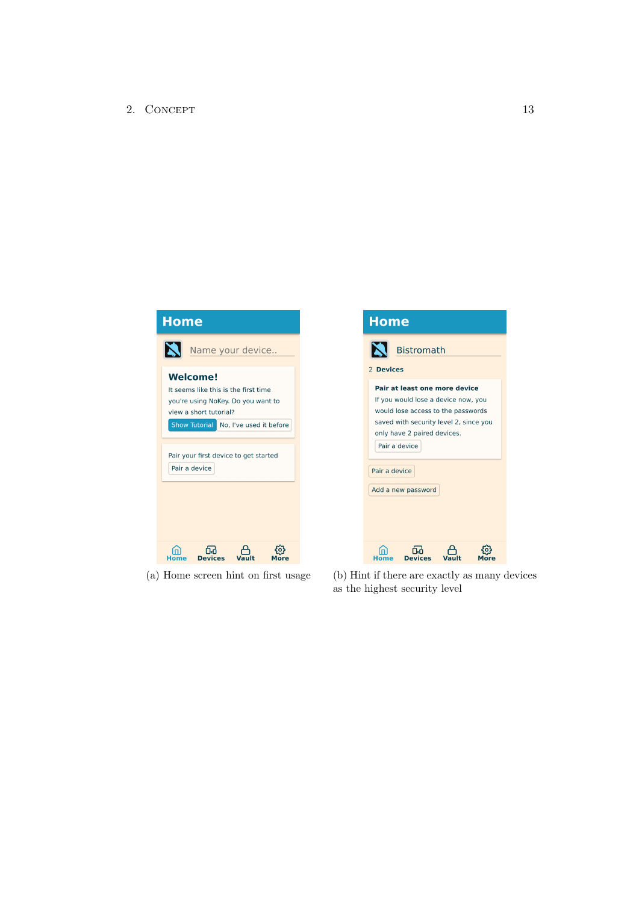

(a) Home screen hint on first usage (b) Hint if there are exactly as many devices as the highest security level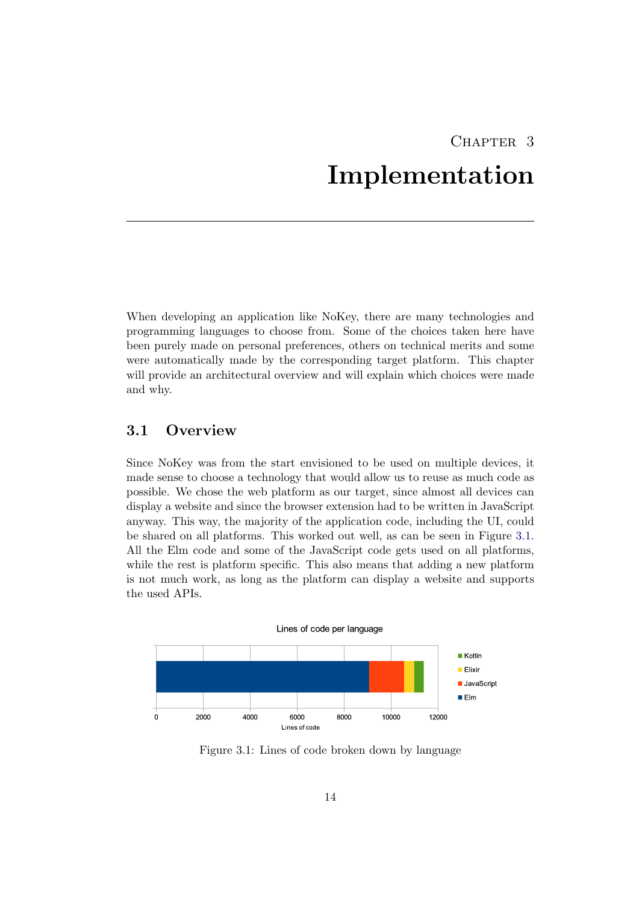## CHAPTER<sub>3</sub> Implementation

<span id="page-17-0"></span>When developing an application like NoKey, there are many technologies and programming languages to choose from. Some of the choices taken here have been purely made on personal preferences, others on technical merits and some were automatically made by the corresponding target platform. This chapter will provide an architectural overview and will explain which choices were made and why.

## <span id="page-17-1"></span>3.1 Overview

Since NoKey was from the start envisioned to be used on multiple devices, it made sense to choose a technology that would allow us to reuse as much code as possible. We chose the web platform as our target, since almost all devices can display a website and since the browser extension had to be written in JavaScript anyway. This way, the majority of the application code, including the UI, could be shared on all platforms. This worked out well, as can be seen in Figure [3.1.](#page-17-2) All the Elm code and some of the JavaScript code gets used on all platforms, while the rest is platform specific. This also means that adding a new platform is not much work, as long as the platform can display a website and supports the used APIs.

<span id="page-17-2"></span>

Figure 3.1: Lines of code broken down by language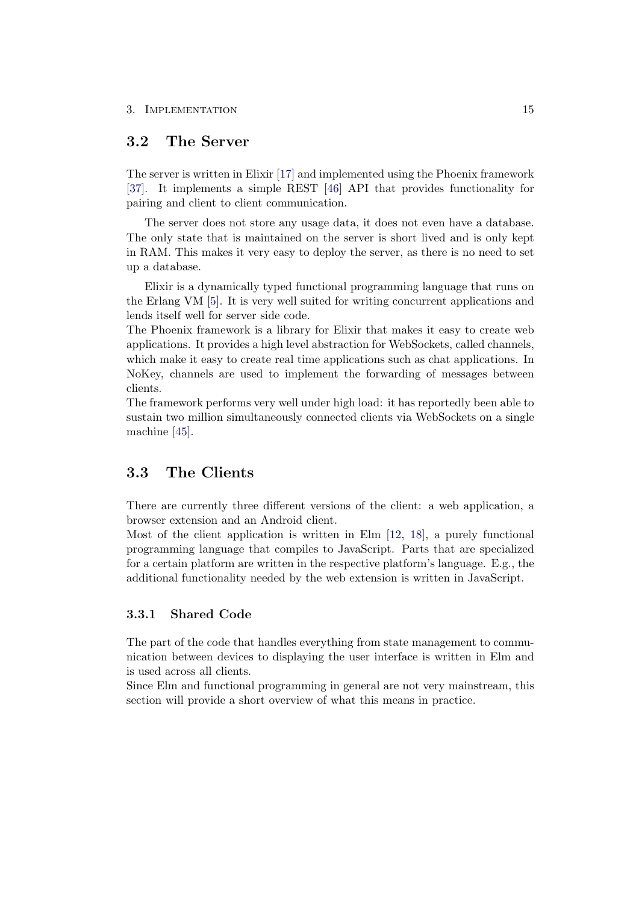## <span id="page-18-0"></span>3.2 The Server

The server is written in Elixir [\[17\]](#page-28-9) and implemented using the Phoenix framework [\[37\]](#page-29-6). It implements a simple REST [\[46\]](#page-27-5) API that provides functionality for pairing and client to client communication.

The server does not store any usage data, it does not even have a database. The only state that is maintained on the server is short lived and is only kept in RAM. This makes it very easy to deploy the server, as there is no need to set up a database.

Elixir is a dynamically typed functional programming language that runs on the Erlang VM [\[5\]](#page-26-7). It is very well suited for writing concurrent applications and lends itself well for server side code.

The Phoenix framework is a library for Elixir that makes it easy to create web applications. It provides a high level abstraction for WebSockets, called channels, which make it easy to create real time applications such as chat applications. In NoKey, channels are used to implement the forwarding of messages between clients.

The framework performs very well under high load: it has reportedly been able to sustain two million simultaneously connected clients via WebSockets on a single machine [\[45\]](#page-29-7).

### <span id="page-18-1"></span>3.3 The Clients

There are currently three different versions of the client: a web application, a browser extension and an Android client.

Most of the client application is written in Elm [\[12,](#page-26-8) [18\]](#page-28-10), a purely functional programming language that compiles to JavaScript. Parts that are specialized for a certain platform are written in the respective platform's language. E.g., the additional functionality needed by the web extension is written in JavaScript.

### <span id="page-18-2"></span>3.3.1 Shared Code

The part of the code that handles everything from state management to communication between devices to displaying the user interface is written in Elm and is used across all clients.

Since Elm and functional programming in general are not very mainstream, this section will provide a short overview of what this means in practice.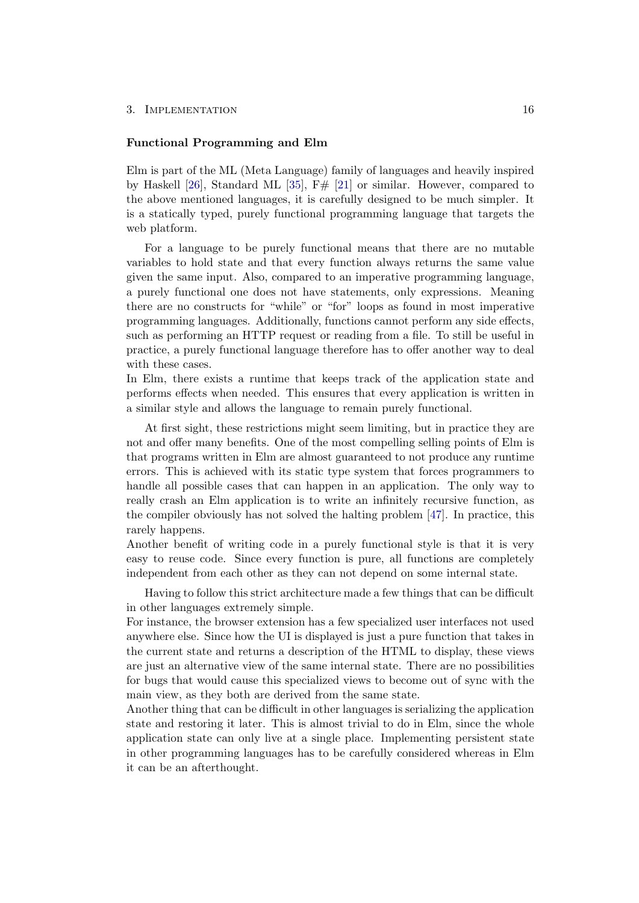#### 3. IMPLEMENTATION 16

#### Functional Programming and Elm

Elm is part of the ML (Meta Language) family of languages and heavily inspired by Haskell [\[26\]](#page-26-9), Standard ML [\[35\]](#page-26-10),  $F#$  [\[21\]](#page-28-11) or similar. However, compared to the above mentioned languages, it is carefully designed to be much simpler. It is a statically typed, purely functional programming language that targets the web platform.

For a language to be purely functional means that there are no mutable variables to hold state and that every function always returns the same value given the same input. Also, compared to an imperative programming language, a purely functional one does not have statements, only expressions. Meaning there are no constructs for "while" or "for" loops as found in most imperative programming languages. Additionally, functions cannot perform any side effects, such as performing an HTTP request or reading from a file. To still be useful in practice, a purely functional language therefore has to offer another way to deal with these cases.

In Elm, there exists a runtime that keeps track of the application state and performs effects when needed. This ensures that every application is written in a similar style and allows the language to remain purely functional.

At first sight, these restrictions might seem limiting, but in practice they are not and offer many benefits. One of the most compelling selling points of Elm is that programs written in Elm are almost guaranteed to not produce any runtime errors. This is achieved with its static type system that forces programmers to handle all possible cases that can happen in an application. The only way to really crash an Elm application is to write an infinitely recursive function, as the compiler obviously has not solved the halting problem [\[47\]](#page-27-6). In practice, this rarely happens.

Another benefit of writing code in a purely functional style is that it is very easy to reuse code. Since every function is pure, all functions are completely independent from each other as they can not depend on some internal state.

Having to follow this strict architecture made a few things that can be difficult in other languages extremely simple.

For instance, the browser extension has a few specialized user interfaces not used anywhere else. Since how the UI is displayed is just a pure function that takes in the current state and returns a description of the HTML to display, these views are just an alternative view of the same internal state. There are no possibilities for bugs that would cause this specialized views to become out of sync with the main view, as they both are derived from the same state.

Another thing that can be difficult in other languages is serializing the application state and restoring it later. This is almost trivial to do in Elm, since the whole application state can only live at a single place. Implementing persistent state in other programming languages has to be carefully considered whereas in Elm it can be an afterthought.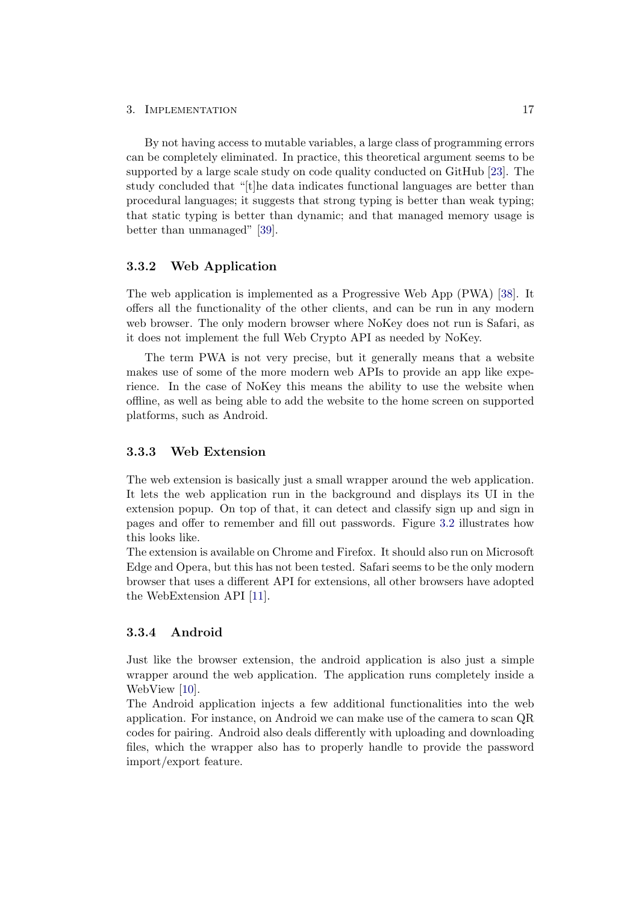#### 3. IMPLEMENTATION 17

By not having access to mutable variables, a large class of programming errors can be completely eliminated. In practice, this theoretical argument seems to be supported by a large scale study on code quality conducted on GitHub [\[23\]](#page-28-12). The study concluded that "[t]he data indicates functional languages are better than procedural languages; it suggests that strong typing is better than weak typing; that static typing is better than dynamic; and that managed memory usage is better than unmanaged" [\[39\]](#page-27-7).

#### <span id="page-20-0"></span>3.3.2 Web Application

The web application is implemented as a Progressive Web App (PWA) [\[38\]](#page-29-8). It offers all the functionality of the other clients, and can be run in any modern web browser. The only modern browser where NoKey does not run is Safari, as it does not implement the full Web Crypto API as needed by NoKey.

The term PWA is not very precise, but it generally means that a website makes use of some of the more modern web APIs to provide an app like experience. In the case of NoKey this means the ability to use the website when offline, as well as being able to add the website to the home screen on supported platforms, such as Android.

#### <span id="page-20-1"></span>3.3.3 Web Extension

The web extension is basically just a small wrapper around the web application. It lets the web application run in the background and displays its UI in the extension popup. On top of that, it can detect and classify sign up and sign in pages and offer to remember and fill out passwords. Figure [3.2](#page-21-0) illustrates how this looks like.

The extension is available on Chrome and Firefox. It should also run on Microsoft Edge and Opera, but this has not been tested. Safari seems to be the only modern browser that uses a different API for extensions, all other browsers have adopted the WebExtension API [\[11\]](#page-26-11).

#### <span id="page-20-2"></span>3.3.4 Android

Just like the browser extension, the android application is also just a simple wrapper around the web application. The application runs completely inside a WebView [\[10\]](#page-28-13).

The Android application injects a few additional functionalities into the web application. For instance, on Android we can make use of the camera to scan QR codes for pairing. Android also deals differently with uploading and downloading files, which the wrapper also has to properly handle to provide the password import/export feature.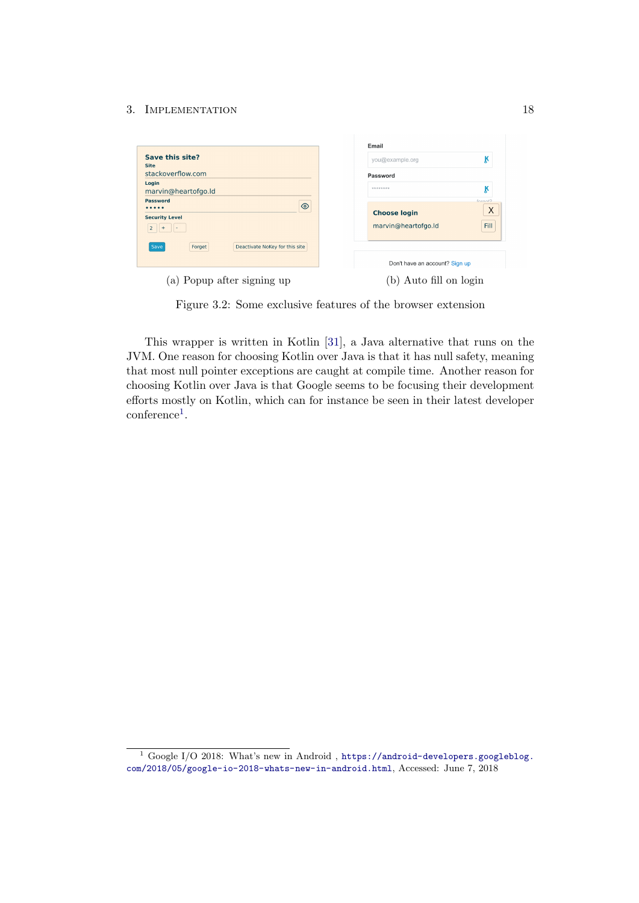#### 3. IMPLEMENTATION 18

<span id="page-21-0"></span>

|                                                  | Email                              |  |  |
|--------------------------------------------------|------------------------------------|--|--|
| Save this site?<br><b>Site</b>                   | k<br>you@example.org               |  |  |
| stackoverflow.com                                | Password                           |  |  |
| Login<br>marvin@heartofgo.ld                     | k<br>********                      |  |  |
| <b>Password</b><br>$\circledcirc$<br>            | forgot?                            |  |  |
| <b>Security Level</b>                            | X<br><b>Choose login</b>           |  |  |
| $\overline{2}$                                   | <b>Fill</b><br>marvin@heartofgo.ld |  |  |
| Forget<br>Deactivate NoKey for this site<br>Save |                                    |  |  |
|                                                  | Don't have an account? Sign up     |  |  |
| (a) Popup after signing up                       | Auto fill on login                 |  |  |

Figure 3.2: Some exclusive features of the browser extension

This wrapper is written in Kotlin [\[31\]](#page-29-9), a Java alternative that runs on the JVM. One reason for choosing Kotlin over Java is that it has null safety, meaning that most null pointer exceptions are caught at compile time. Another reason for choosing Kotlin over Java is that Google seems to be focusing their development efforts mostly on Kotlin, which can for instance be seen in their latest developer conference<sup>[1](#page-21-1)</sup>.

<span id="page-21-1"></span><sup>&</sup>lt;sup>1</sup> Google I/O 2018: What's new in Android, [https://android-developers.googleblog.](https://android-developers.googleblog.com/2018/05/google-io-2018-whats-new-in-android.html) [com/2018/05/google-io-2018-whats-new-in-android.html](https://android-developers.googleblog.com/2018/05/google-io-2018-whats-new-in-android.html), Accessed: June 7, 2018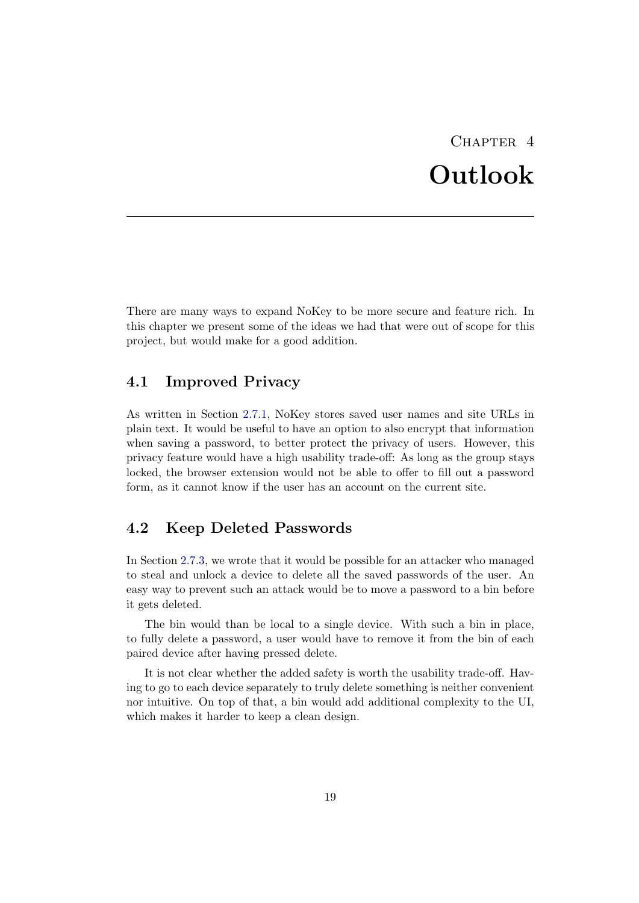## $CHAPTER$  4 Outlook

<span id="page-22-0"></span>There are many ways to expand NoKey to be more secure and feature rich. In this chapter we present some of the ideas we had that were out of scope for this project, but would make for a good addition.

## <span id="page-22-1"></span>4.1 Improved Privacy

As written in Section [2.7.1,](#page-13-1) NoKey stores saved user names and site URLs in plain text. It would be useful to have an option to also encrypt that information when saving a password, to better protect the privacy of users. However, this privacy feature would have a high usability trade-off: As long as the group stays locked, the browser extension would not be able to offer to fill out a password form, as it cannot know if the user has an account on the current site.

## <span id="page-22-2"></span>4.2 Keep Deleted Passwords

In Section [2.7.3,](#page-14-1) we wrote that it would be possible for an attacker who managed to steal and unlock a device to delete all the saved passwords of the user. An easy way to prevent such an attack would be to move a password to a bin before it gets deleted.

The bin would than be local to a single device. With such a bin in place, to fully delete a password, a user would have to remove it from the bin of each paired device after having pressed delete.

It is not clear whether the added safety is worth the usability trade-off. Having to go to each device separately to truly delete something is neither convenient nor intuitive. On top of that, a bin would add additional complexity to the UI, which makes it harder to keep a clean design.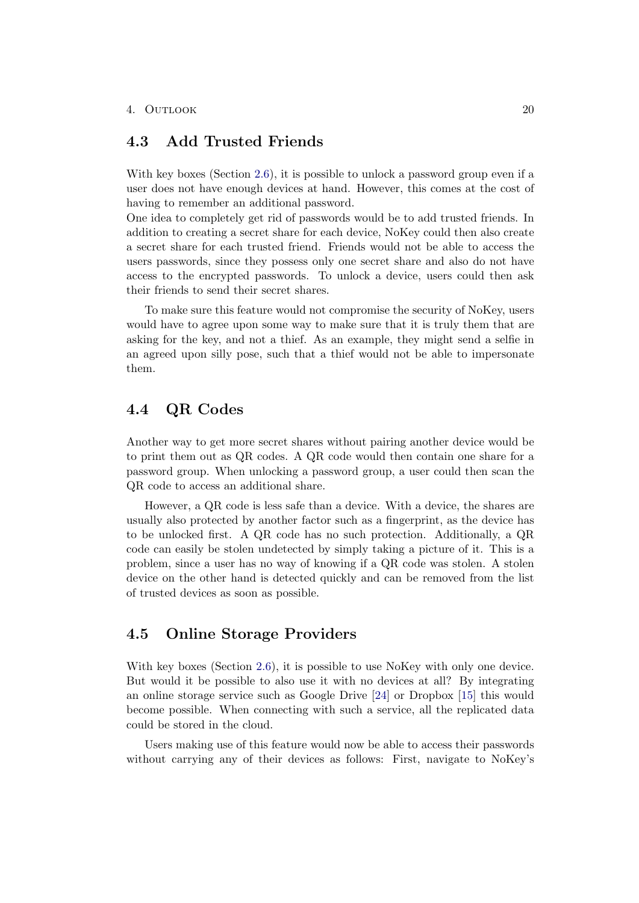## <span id="page-23-0"></span>4.3 Add Trusted Friends

With key boxes (Section [2.6\)](#page-12-1), it is possible to unlock a password group even if a user does not have enough devices at hand. However, this comes at the cost of having to remember an additional password.

One idea to completely get rid of passwords would be to add trusted friends. In addition to creating a secret share for each device, NoKey could then also create a secret share for each trusted friend. Friends would not be able to access the users passwords, since they possess only one secret share and also do not have access to the encrypted passwords. To unlock a device, users could then ask their friends to send their secret shares.

To make sure this feature would not compromise the security of NoKey, users would have to agree upon some way to make sure that it is truly them that are asking for the key, and not a thief. As an example, they might send a selfie in an agreed upon silly pose, such that a thief would not be able to impersonate them.

## <span id="page-23-1"></span>4.4 QR Codes

Another way to get more secret shares without pairing another device would be to print them out as QR codes. A QR code would then contain one share for a password group. When unlocking a password group, a user could then scan the QR code to access an additional share.

However, a QR code is less safe than a device. With a device, the shares are usually also protected by another factor such as a fingerprint, as the device has to be unlocked first. A QR code has no such protection. Additionally, a QR code can easily be stolen undetected by simply taking a picture of it. This is a problem, since a user has no way of knowing if a QR code was stolen. A stolen device on the other hand is detected quickly and can be removed from the list of trusted devices as soon as possible.

## <span id="page-23-2"></span>4.5 Online Storage Providers

With key boxes (Section [2.6\)](#page-12-1), it is possible to use NoKey with only one device. But would it be possible to also use it with no devices at all? By integrating an online storage service such as Google Drive [\[24\]](#page-28-14) or Dropbox [\[15\]](#page-28-15) this would become possible. When connecting with such a service, all the replicated data could be stored in the cloud.

Users making use of this feature would now be able to access their passwords without carrying any of their devices as follows: First, navigate to NoKey's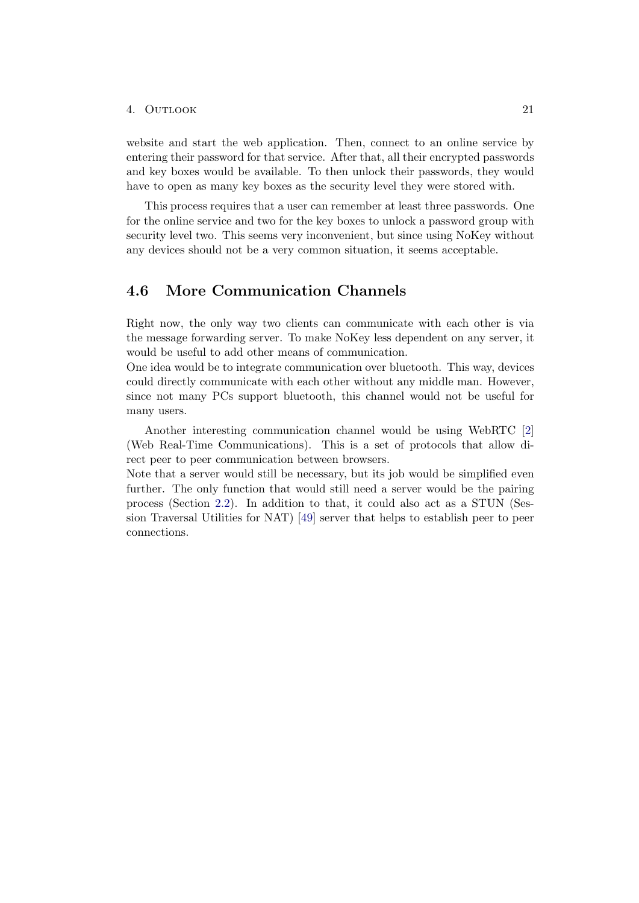#### 4. Outlook 21

website and start the web application. Then, connect to an online service by entering their password for that service. After that, all their encrypted passwords and key boxes would be available. To then unlock their passwords, they would have to open as many key boxes as the security level they were stored with.

This process requires that a user can remember at least three passwords. One for the online service and two for the key boxes to unlock a password group with security level two. This seems very inconvenient, but since using NoKey without any devices should not be a very common situation, it seems acceptable.

### <span id="page-24-0"></span>4.6 More Communication Channels

Right now, the only way two clients can communicate with each other is via the message forwarding server. To make NoKey less dependent on any server, it would be useful to add other means of communication.

One idea would be to integrate communication over bluetooth. This way, devices could directly communicate with each other without any middle man. However, since not many PCs support bluetooth, this channel would not be useful for many users.

Another interesting communication channel would be using WebRTC [\[2\]](#page-26-12) (Web Real-Time Communications). This is a set of protocols that allow direct peer to peer communication between browsers.

Note that a server would still be necessary, but its job would be simplified even further. The only function that would still need a server would be the pairing process (Section [2.2\)](#page-7-0). In addition to that, it could also act as a STUN (Session Traversal Utilities for NAT) [\[49\]](#page-27-8) server that helps to establish peer to peer connections.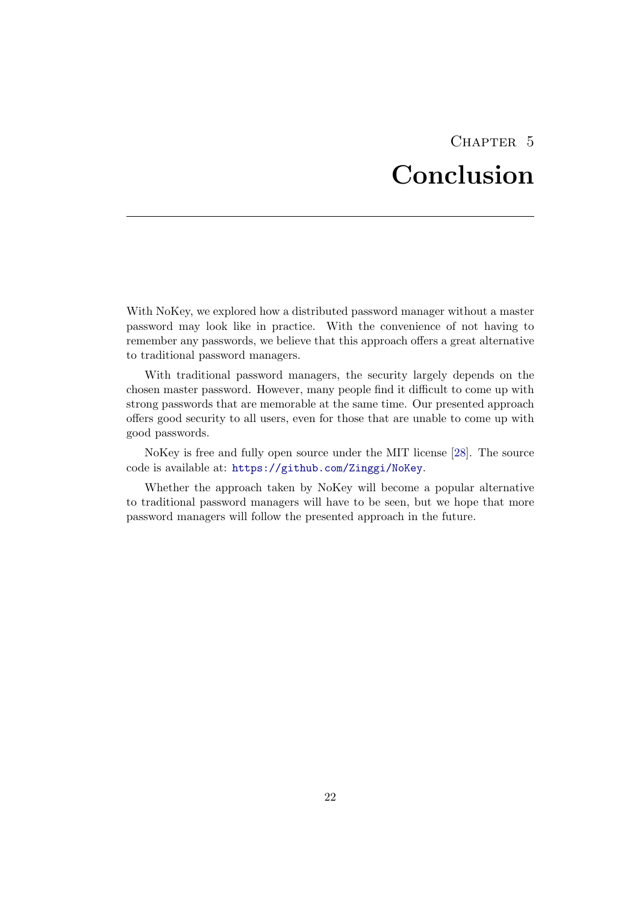## CHAPTER<sub>5</sub> Conclusion

<span id="page-25-0"></span>With NoKey, we explored how a distributed password manager without a master password may look like in practice. With the convenience of not having to remember any passwords, we believe that this approach offers a great alternative to traditional password managers.

With traditional password managers, the security largely depends on the chosen master password. However, many people find it difficult to come up with strong passwords that are memorable at the same time. Our presented approach offers good security to all users, even for those that are unable to come up with good passwords.

NoKey is free and fully open source under the MIT license [\[28\]](#page-29-10). The source code is available at: <https://github.com/Zinggi/NoKey>.

Whether the approach taken by NoKey will become a popular alternative to traditional password managers will have to be seen, but we hope that more password managers will follow the presented approach in the future.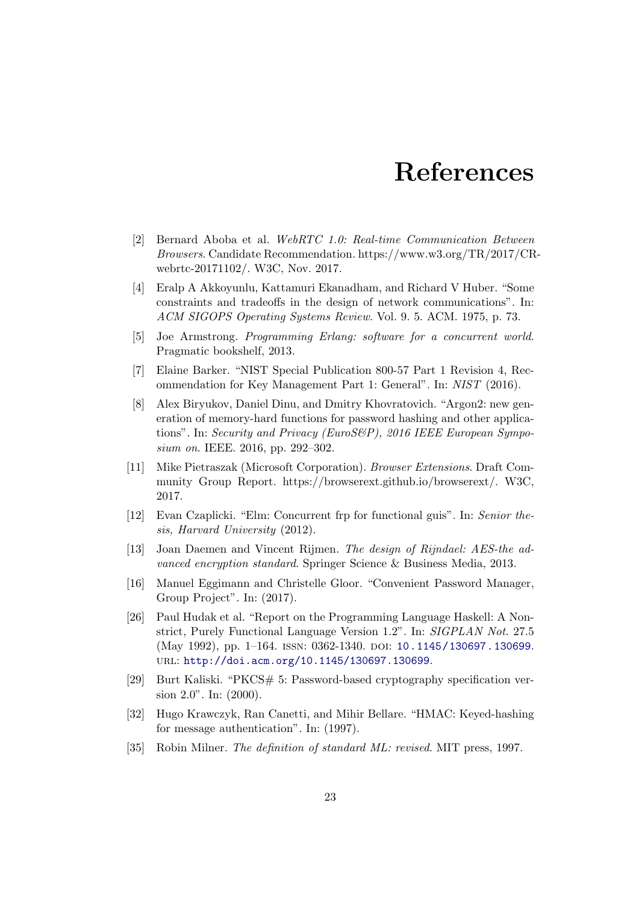## References

- <span id="page-26-12"></span>[2] Bernard Aboba et al. WebRTC 1.0: Real-time Communication Between Browsers. Candidate Recommendation. https://www.w3.org/TR/2017/CRwebrtc-20171102/. W3C, Nov. 2017.
- <span id="page-26-4"></span>[4] Eralp A Akkoyunlu, Kattamuri Ekanadham, and Richard V Huber. "Some constraints and tradeoffs in the design of network communications". In: ACM SIGOPS Operating Systems Review. Vol. 9. 5. ACM. 1975, p. 73.
- <span id="page-26-7"></span>[5] Joe Armstrong. Programming Erlang: software for a concurrent world. Pragmatic bookshelf, 2013.
- <span id="page-26-5"></span>[7] Elaine Barker. "NIST Special Publication 800-57 Part 1 Revision 4, Recommendation for Key Management Part 1: General". In: NIST (2016).
- <span id="page-26-2"></span>[8] Alex Biryukov, Daniel Dinu, and Dmitry Khovratovich. "Argon2: new generation of memory-hard functions for password hashing and other applications". In: Security and Privacy (EuroS&P), 2016 IEEE European Symposium on. IEEE. 2016, pp. 292–302.
- <span id="page-26-11"></span>[11] Mike Pietraszak (Microsoft Corporation). Browser Extensions. Draft Community Group Report. https://browserext.github.io/browserext/. W3C, 2017.
- <span id="page-26-8"></span>[12] Evan Czaplicki. "Elm: Concurrent frp for functional guis". In: Senior thesis, Harvard University (2012).
- <span id="page-26-3"></span>[13] Joan Daemen and Vincent Rijmen. The design of Rijndael: AES-the advanced encryption standard. Springer Science & Business Media, 2013.
- <span id="page-26-0"></span>[16] Manuel Eggimann and Christelle Gloor. "Convenient Password Manager, Group Project". In: (2017).
- <span id="page-26-9"></span>[26] Paul Hudak et al. "Report on the Programming Language Haskell: A Nonstrict, Purely Functional Language Version 1.2". In: SIGPLAN Not. 27.5 (May 1992), pp. 1–164. ISSN: 0362-1340. DOI: [10.1145/130697.130699](https://doi.org/10.1145/130697.130699). url: <http://doi.acm.org/10.1145/130697.130699>.
- <span id="page-26-1"></span>[29] Burt Kaliski. "PKCS# 5: Password-based cryptography specification version 2.0". In: (2000).
- <span id="page-26-6"></span>[32] Hugo Krawczyk, Ran Canetti, and Mihir Bellare. "HMAC: Keyed-hashing for message authentication". In: (1997).
- <span id="page-26-10"></span>[35] Robin Milner. The definition of standard ML: revised. MIT press, 1997.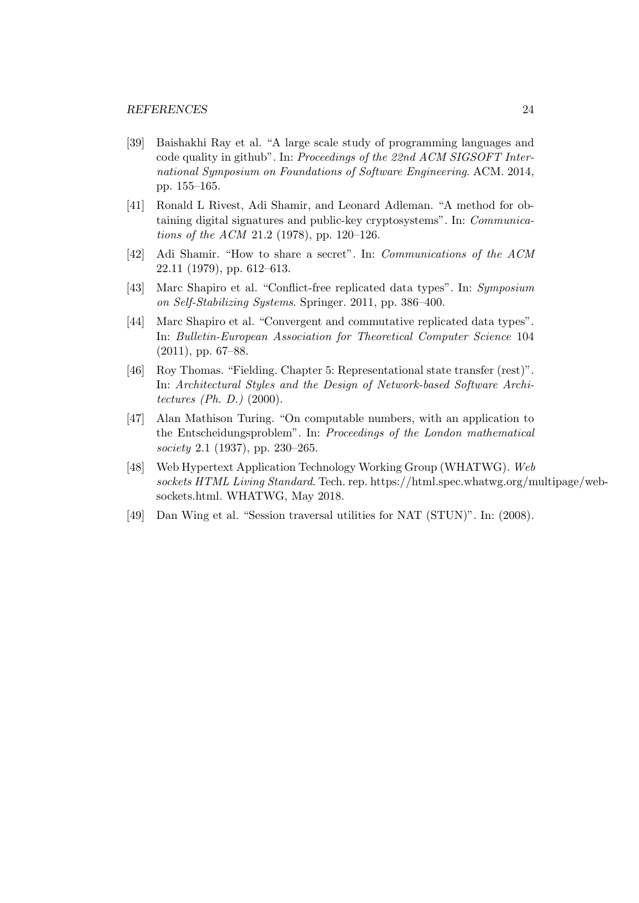- <span id="page-27-7"></span>[39] Baishakhi Ray et al. "A large scale study of programming languages and code quality in github". In: Proceedings of the 22nd ACM SIGSOFT International Symposium on Foundations of Software Engineering. ACM. 2014, pp. 155–165.
- <span id="page-27-1"></span>[41] Ronald L Rivest, Adi Shamir, and Leonard Adleman. "A method for obtaining digital signatures and public-key cryptosystems". In: Communications of the ACM 21.2 (1978), pp. 120–126.
- <span id="page-27-4"></span>[42] Adi Shamir. "How to share a secret". In: Communications of the ACM 22.11 (1979), pp. 612–613.
- <span id="page-27-2"></span>[43] Marc Shapiro et al. "Conflict-free replicated data types". In: Symposium on Self-Stabilizing Systems. Springer. 2011, pp. 386–400.
- <span id="page-27-3"></span>[44] Marc Shapiro et al. "Convergent and commutative replicated data types". In: Bulletin-European Association for Theoretical Computer Science 104 (2011), pp. 67–88.
- <span id="page-27-5"></span>[46] Roy Thomas. "Fielding. Chapter 5: Representational state transfer (rest)". In: Architectural Styles and the Design of Network-based Software Architectures (Ph. D.) (2000).
- <span id="page-27-6"></span>[47] Alan Mathison Turing. "On computable numbers, with an application to the Entscheidungsproblem". In: Proceedings of the London mathematical society 2.1 (1937), pp. 230–265.
- <span id="page-27-0"></span>[48] Web Hypertext Application Technology Working Group (WHATWG). Web sockets HTML Living Standard. Tech. rep. https://html.spec.whatwg.org/multipage/websockets.html. WHATWG, May 2018.
- <span id="page-27-8"></span>[49] Dan Wing et al. "Session traversal utilities for NAT (STUN)". In: (2008).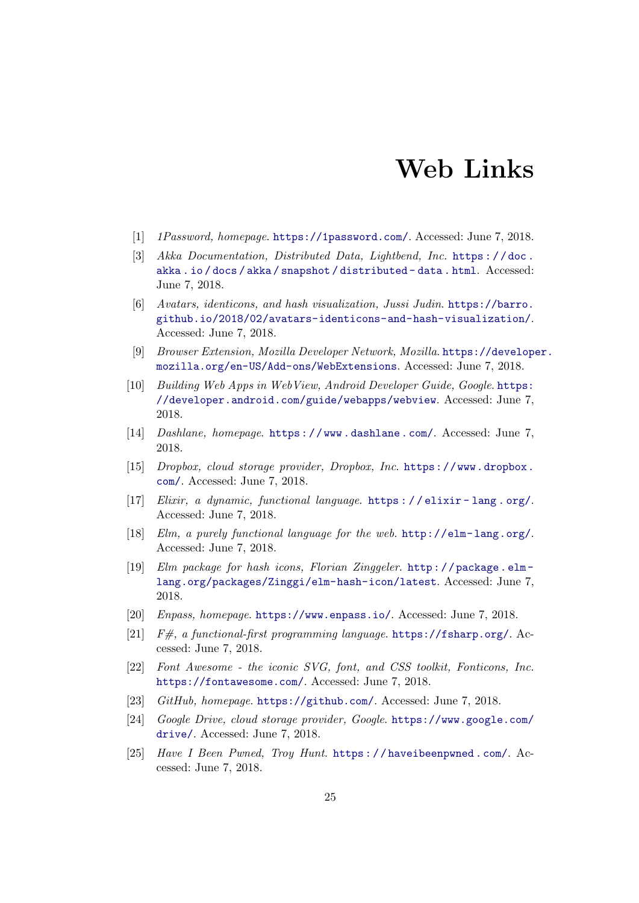## Web Links

- <span id="page-28-2"></span>[1] 1Password, homepage. <https://1password.com/>. Accessed: June 7, 2018.
- <span id="page-28-8"></span>[3] Akka Documentation, Distributed Data, Lightbend, Inc. https://doc. [akka . io / docs / akka / snapshot / distributed - data . html](https://doc.akka.io/docs/akka/snapshot/distributed-data.html). Accessed: June 7, 2018.
- <span id="page-28-6"></span>[6] Avatars, identicons, and hash visualization, Jussi Judin. [https://barro.](https://barro.github.io/2018/02/avatars-identicons-and-hash-visualization/) [github.io/2018/02/avatars-identicons-and-hash-visualization/](https://barro.github.io/2018/02/avatars-identicons-and-hash-visualization/). Accessed: June 7, 2018.
- <span id="page-28-4"></span>[9] Browser Extension, Mozilla Developer Network, Mozilla. [https://develope](https://developer.mozilla.org/en-US/Add-ons/WebExtensions)r. [mozilla.org/en-US/Add-ons/WebExtensions](https://developer.mozilla.org/en-US/Add-ons/WebExtensions). Accessed: June 7, 2018.
- <span id="page-28-13"></span>[10] Building Web Apps in WebView, Android Developer Guide, Google. [https:](https://developer.android.com/guide/webapps/webview) [//developer.android.com/guide/webapps/webview](https://developer.android.com/guide/webapps/webview). Accessed: June 7, 2018.
- <span id="page-28-3"></span>[14] Dashlane, homepage. [https : / / www . dashlane . com/](https://www.dashlane.com/). Accessed: June 7, 2018.
- <span id="page-28-15"></span>[15] Dropbox, cloud storage provider, Dropbox, Inc. [https://www.dropbox.](https://www.dropbox.com/) [com/](https://www.dropbox.com/). Accessed: June 7, 2018.
- <span id="page-28-9"></span>[17] Elixir, a dynamic, functional language. [https : / / elixir - lang . org/](https://elixir-lang.org/). Accessed: June 7, 2018.
- <span id="page-28-10"></span>[18] Elm, a purely functional language for the web. http://elm-lang.org/. Accessed: June 7, 2018.
- <span id="page-28-7"></span>[19] Elm package for hash icons, Florian Zinggeler. [http : / / package . elm](http://package.elm-lang.org/packages/Zinggi/elm-hash-icon/latest)  [lang.org/packages/Zinggi/elm-hash-icon/latest](http://package.elm-lang.org/packages/Zinggi/elm-hash-icon/latest). Accessed: June 7, 2018.
- <span id="page-28-1"></span>[20] Enpass, homepage. <https://www.enpass.io/>. Accessed: June 7, 2018.
- <span id="page-28-11"></span>[21]  $F#$ , a functional-first programming language. <https://fsharp.org/>. Accessed: June 7, 2018.
- <span id="page-28-5"></span>[22] Font Awesome - the iconic SVG, font, and CSS toolkit, Fonticons, Inc. <https://fontawesome.com/>. Accessed: June 7, 2018.
- <span id="page-28-12"></span>[23] GitHub, homepage. <https://github.com/>. Accessed: June 7, 2018.
- <span id="page-28-14"></span>[24] Google Drive, cloud storage provider, Google. [https://www.google.com/](https://www.google.com/drive/) [drive/](https://www.google.com/drive/). Accessed: June 7, 2018.
- <span id="page-28-0"></span>[25] Have I Been Pwned, Troy Hunt. [https : / / haveibeenpwned . com/](https://haveibeenpwned.com/). Accessed: June 7, 2018.